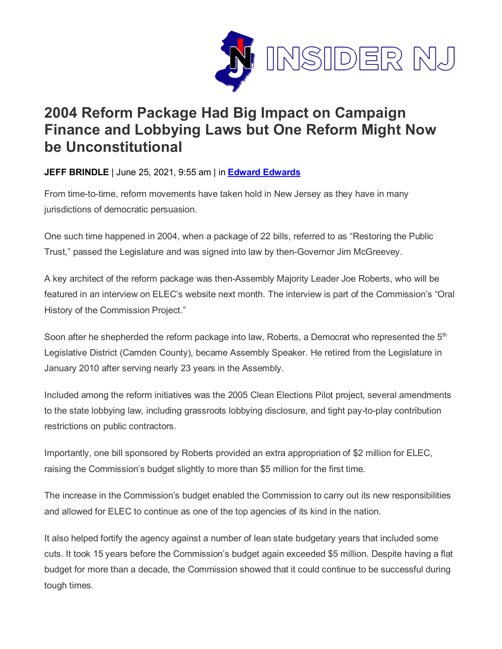

## **2004 Reform Package Had Big Impact on Campaign Finance and Lobbying Laws but One Reform Might Now be Unconstitutional**

**JEFF BRINDLE** | June 25, 2021, 9:55 am | in **Edward [Edwards](https://www.insidernj.com/category/edward-edwards/)**

From time-to-time, reform movements have taken hold in New Jersey as they have in many jurisdictions of democratic persuasion.

One such time happened in 2004, when a package of 22 bills, referred to as "Restoring the Public Trust," passed the Legislature and was signed into law by then-Governor Jim McGreevey.

A key architect of the reform package was then-Assembly Majority Leader Joe Roberts, who will be featured in an interview on ELEC's website next month. The interview is part of the Commission's "Oral History of the Commission Project."

Soon after he shepherded the reform package into law, Roberts, a Democrat who represented the  $5<sup>th</sup>$ Legislative District (Camden County), became Assembly Speaker. He retired from the Legislature in January 2010 after serving nearly 23 years in the Assembly.

Included among the reform initiatives was the 2005 Clean Elections Pilot project, several amendments to the state lobbying law, including grassroots lobbying disclosure, and tight pay-to-play contribution restrictions on public contractors.

Importantly, one bill sponsored by Roberts provided an extra appropriation of \$2 million for ELEC, raising the Commission's budget slightly to more than \$5 million for the first time.

The increase in the Commission's budget enabled the Commission to carry out its new responsibilities and allowed for ELEC to continue as one of the top agencies of its kind in the nation.

It also helped fortify the agency against a number of lean state budgetary years that included some cuts. It took 15 years before the Commission's budget again exceeded \$5 million. Despite having a flat budget for more than a decade, the Commission showed that it could continue to be successful during tough times.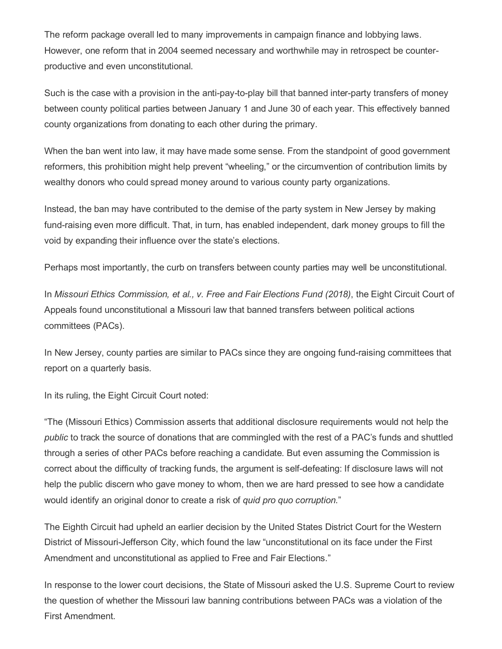The reform package overall led to many improvements in campaign finance and lobbying laws. However, one reform that in 2004 seemed necessary and worthwhile may in retrospect be counterproductive and even unconstitutional.

Such is the case with a provision in the anti-pay-to-play bill that banned inter-party transfers of money between county political parties between January 1 and June 30 of each year. This effectively banned county organizations from donating to each other during the primary.

When the ban went into law, it may have made some sense. From the standpoint of good government reformers, this prohibition might help prevent "wheeling," or the circumvention of contribution limits by wealthy donors who could spread money around to various county party organizations.

Instead, the ban may have contributed to the demise of the party system in New Jersey by making fund-raising even more difficult. That, in turn, has enabled independent, dark money groups to fill the void by expanding their influence over the state's elections.

Perhaps most importantly, the curb on transfers between county parties may well be unconstitutional.

In *Missouri Ethics Commission, et al., v. Free and Fair Elections Fund (2018)*, the Eight Circuit Court of Appeals found unconstitutional a Missouri law that banned transfers between political actions committees (PACs).

In New Jersey, county parties are similar to PACs since they are ongoing fund-raising committees that report on a quarterly basis.

In its ruling, the Eight Circuit Court noted:

"The (Missouri Ethics) Commission asserts that additional disclosure requirements would not help the *public* to track the source of donations that are commingled with the rest of a PAC's funds and shuttled through a series of other PACs before reaching a candidate. But even assuming the Commission is correct about the difficulty of tracking funds, the argument is self-defeating: If disclosure laws will not help the public discern who gave money to whom, then we are hard pressed to see how a candidate would identify an original donor to create a risk of *quid pro quo corruption*."

The Eighth Circuit had upheld an earlier decision by the United States District Court for the Western District of Missouri-Jefferson City, which found the law "unconstitutional on its face under the First Amendment and unconstitutional as applied to Free and Fair Elections."

In response to the lower court decisions, the State of Missouri asked the U.S. Supreme Court to review the question of whether the Missouri law banning contributions between PACs was a violation of the First Amendment.